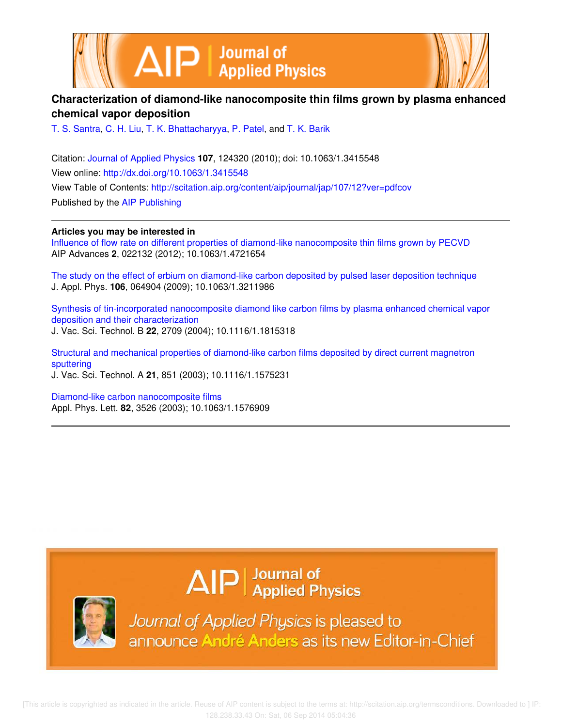



# **Characterization of diamond-like nanocomposite thin films grown by plasma enhanced chemical vapor deposition**

T. S. Santra, C. H. Liu, T. K. Bhattacharyya, P. Patel, and T. K. Barik

Citation: Journal of Applied Physics **107**, 124320 (2010); doi: 10.1063/1.3415548 View online: http://dx.doi.org/10.1063/1.3415548 View Table of Contents: http://scitation.aip.org/content/aip/journal/jap/107/12?ver=pdfcov Published by the AIP Publishing

**Articles you may be interested in**

Influence of flow rate on different properties of diamond-like nanocomposite thin films grown by PECVD AIP Advances **2**, 022132 (2012); 10.1063/1.4721654

The study on the effect of erbium on diamond-like carbon deposited by pulsed laser deposition technique J. Appl. Phys. **106**, 064904 (2009); 10.1063/1.3211986

Synthesis of tin-incorporated nanocomposite diamond like carbon films by plasma enhanced chemical vapor deposition and their characterization J. Vac. Sci. Technol. B **22**, 2709 (2004); 10.1116/1.1815318

Structural and mechanical properties of diamond-like carbon films deposited by direct current magnetron sputtering J. Vac. Sci. Technol. A **21**, 851 (2003); 10.1116/1.1575231

Diamond-like carbon nanocomposite films Appl. Phys. Lett. **82**, 3526 (2003); 10.1063/1.1576909

# $\Delta$   $\vert P \vert$  Journal of Applied Physics



Journal of Applied Physics is pleased to announce André Anders as its new Editor-in-Chief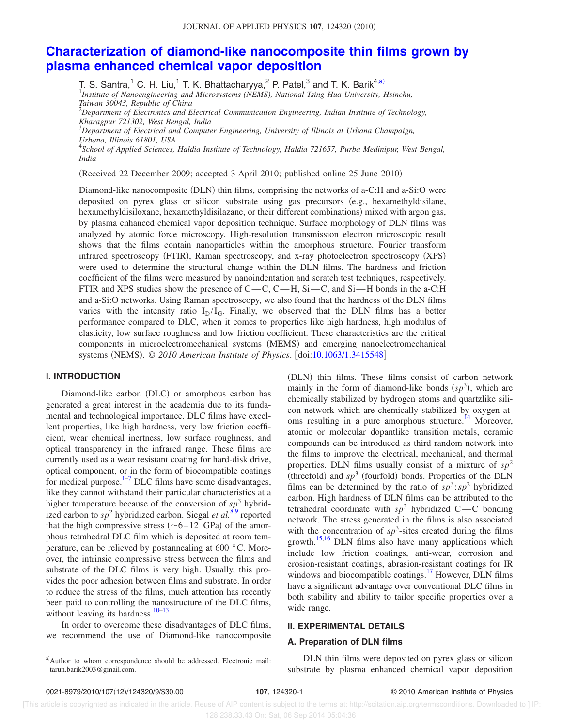# **Characterization of diamond-like nanocomposite thin films grown by plasma enhanced chemical vapor deposition**

T. S. Santra,<sup>1</sup> C. H. Liu,<sup>1</sup> T. K. Bhattacharyya,<sup>2</sup> P. Patel,<sup>3</sup> and T. K. Barik<sup>4,a)</sup><br><sup>1</sup>Institute of Nanoengineering and Microsystems (NEMS), National Tsing Hua University, Hsinchu,

*Taiwan 30043, Republic of China*

<sup>2</sup>*Department of Electronics and Electrical Communication Engineering, Indian Institute of Technology, Kharagpur 721302, West Bengal, India* <sup>3</sup>*Department of Electrical and Computer Engineering, University of Illinois at Urbana Champaign,*

*Urbana, Illinois 61801, USA*

4 *School of Applied Sciences, Haldia Institute of Technology, Haldia 721657, Purba Medinipur, West Bengal, India*

Received 22 December 2009; accepted 3 April 2010; published online 25 June 2010-

Diamond-like nanocomposite (DLN) thin films, comprising the networks of a-C:H and a-Si:O were deposited on pyrex glass or silicon substrate using gas precursors (e.g., hexamethyldisilane, hexamethyldisiloxane, hexamethyldisilazane, or their different combinations) mixed with argon gas, by plasma enhanced chemical vapor deposition technique. Surface morphology of DLN films was analyzed by atomic force microscopy. High-resolution transmission electron microscopic result shows that the films contain nanoparticles within the amorphous structure. Fourier transform infrared spectroscopy (FTIR), Raman spectroscopy, and x-ray photoelectron spectroscopy (XPS) were used to determine the structural change within the DLN films. The hardness and friction coefficient of the films were measured by nanoindentation and scratch test techniques, respectively. FTIR and XPS studies show the presence of  $C-C$ ,  $C-H$ ,  $Si-C$ , and  $Si-H$  bonds in the a-C:H and a-Si:O networks. Using Raman spectroscopy, we also found that the hardness of the DLN films varies with the intensity ratio  $I_D/I_G$ . Finally, we observed that the DLN films has a better performance compared to DLC, when it comes to properties like high hardness, high modulus of elasticity, low surface roughness and low friction coefficient. These characteristics are the critical components in microelectromechanical systems (MEMS) and emerging nanoelectromechanical systems (NEMS). © 2010 American Institute of Physics. [doi:10.1063/1.3415548]

# **I. INTRODUCTION**

Diamond-like carbon (DLC) or amorphous carbon has generated a great interest in the academia due to its fundamental and technological importance. DLC films have excellent properties, like high hardness, very low friction coefficient, wear chemical inertness, low surface roughness, and optical transparency in the infrared range. These films are currently used as a wear resistant coating for hard-disk drive, optical component, or in the form of biocompatible coatings for medical purpose. $1\frac{1}{7}$  DLC films have some disadvantages, like they cannot withstand their particular characteristics at a higher temperature because of the conversion of  $sp^3$  hybridized carbon to  $sp^2$  hybridized carbon. Siegal *et al.*<sup>8,9</sup> reported that the high compressive stress  $(-6-12 \text{ GPa})$  of the amorphous tetrahedral DLC film which is deposited at room temperature, can be relieved by postannealing at 600 °C. Moreover, the intrinsic compressive stress between the films and substrate of the DLC films is very high. Usually, this provides the poor adhesion between films and substrate. In order to reduce the stress of the films, much attention has recently been paid to controlling the nanostructure of the DLC films, without leaving its hardness. $10-13$ 

In order to overcome these disadvantages of DLC films, we recommend the use of Diamond-like nanocomposite

(DLN) thin films. These films consist of carbon network mainly in the form of diamond-like bonds  $(sp^3)$ , which are chemically stabilized by hydrogen atoms and quartzlike silicon network which are chemically stabilized by oxygen atoms resulting in a pure amorphous structure.<sup>14</sup> Moreover, atomic or molecular dopantlike transition metals, ceramic compounds can be introduced as third random network into the films to improve the electrical, mechanical, and thermal properties. DLN films usually consist of a mixture of  $sp^2$ (threefold) and  $sp^3$  (fourfold) bonds. Properties of the DLN films can be determined by the ratio of  $sp^3$ :  $sp^2$  hybridized carbon. High hardness of DLN films can be attributed to the tetrahedral coordinate with  $sp^3$  hybridized C—C bonding network. The stress generated in the films is also associated with the concentration of  $sp^3$ -sites created during the films growth.<sup>15,16</sup> DLN films also have many applications which include low friction coatings, anti-wear, corrosion and erosion-resistant coatings, abrasion-resistant coatings for IR windows and biocompatible coatings.<sup>17</sup> However, DLN films have a significant advantage over conventional DLC films in both stability and ability to tailor specific properties over a wide range.

# **II. EXPERIMENTAL DETAILS**

# **A. Preparation of DLN films**

DLN thin films were deposited on pyrex glass or silicon substrate by plasma enhanced chemical vapor deposition

a)Author to whom correspondence should be addressed. Electronic mail: tarun.barik2003@gmail.com.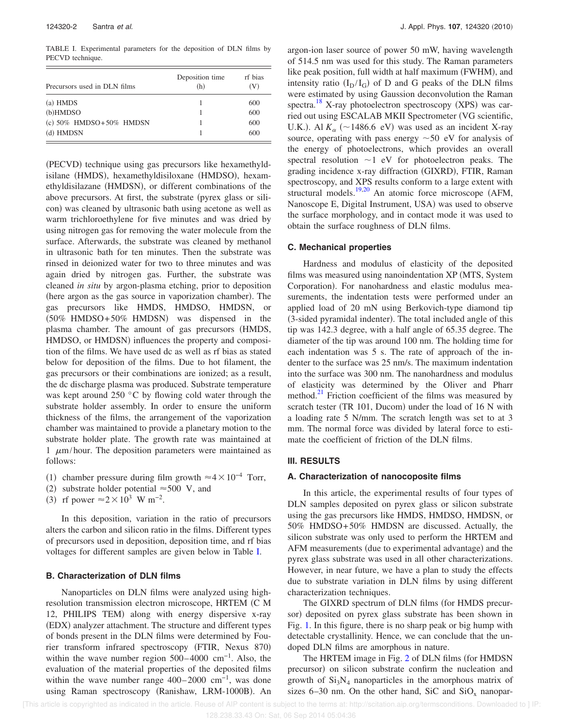TABLE I. Experimental parameters for the deposition of DLN films by PECVD technique.

| Precursors used in DLN films   | Deposition time<br>(h) | rf bias<br>$({\rm V})$ |
|--------------------------------|------------------------|------------------------|
| $(a)$ HMDS                     |                        | 600                    |
| $(b)$ HMDSO                    |                        | 600                    |
| (c) $50\%$ HMDSO+ $50\%$ HMDSN |                        | 600                    |
| (d) HMDSN                      |                        | 600                    |

(PECVD) technique using gas precursors like hexamethyldisilane (HMDS), hexamethyldisiloxane (HMDSO), hexamethyldisilazane (HMDSN), or different combinations of the above precursors. At first, the substrate (pyrex glass or silicon) was cleaned by ultrasonic bath using acetone as well as warm trichloroethylene for five minutes and was dried by using nitrogen gas for removing the water molecule from the surface. Afterwards, the substrate was cleaned by methanol in ultrasonic bath for ten minutes. Then the substrate was rinsed in deionized water for two to three minutes and was again dried by nitrogen gas. Further, the substrate was cleaned *in situ* by argon-plasma etching, prior to deposition (here argon as the gas source in vaporization chamber). The gas precursors like HMDS, HMDSO, HMDSN, or  $(50\%$  HMDSO+50% HMDSN) was dispensed in the plasma chamber. The amount of gas precursors (HMDS, HMDSO, or HMDSN) influences the property and composition of the films. We have used dc as well as rf bias as stated below for deposition of the films. Due to hot filament, the gas precursors or their combinations are ionized; as a result, the dc discharge plasma was produced. Substrate temperature was kept around 250 °C by flowing cold water through the substrate holder assembly. In order to ensure the uniform thickness of the films, the arrangement of the vaporization chamber was maintained to provide a planetary motion to the substrate holder plate. The growth rate was maintained at 1  $\mu$ m/hour. The deposition parameters were maintained as follows:

- (1) chamber pressure during film growth  $\approx$  4  $\times$  10<sup>-4</sup> Torr,
- (2) substrate holder potential  $\approx$  500 V, and
- (3) rf power  $\approx 2 \times 10^3$  W m<sup>-2</sup>.

In this deposition, variation in the ratio of precursors alters the carbon and silicon ratio in the films. Different types of precursors used in deposition, deposition time, and rf bias voltages for different samples are given below in Table I.

### **B. Characterization of DLN films**

Nanoparticles on DLN films were analyzed using highresolution transmission electron microscope, HRTEM (C M 12, PHILIPS TEM) along with energy dispersive x-ray (EDX) analyzer attachment. The structure and different types of bonds present in the DLN films were determined by Fourier transform infrared spectroscopy (FTIR, Nexus 870) within the wave number region  $500-4000$  cm<sup>-1</sup>. Also, the evaluation of the material properties of the deposited films within the wave number range  $400-2000$  cm<sup>-1</sup>, was done using Raman spectroscopy (Ranishaw, LRM-1000B). An

argon-ion laser source of power 50 mW, having wavelength of 514.5 nm was used for this study. The Raman parameters like peak position, full width at half maximum (FWHM), and intensity ratio  $(I_D / I_G)$  of D and G peaks of the DLN films were estimated by using Gaussion deconvolution the Raman spectra.<sup>18</sup> X-ray photoelectron spectroscopy (XPS) was carried out using ESCALAB MKII Spectrometer VG scientific, U.K.). Al  $K_{\alpha}$  (~1486.6 eV) was used as an incident X-ray source, operating with pass energy  $\sim$  50 eV for analysis of the energy of photoelectrons, which provides an overall spectral resolution  $\sim$ 1 eV for photoelectron peaks. The grading incidence x-ray diffraction (GIXRD), FTIR, Raman spectroscopy, and XPS results conform to a large extent with structural models.<sup>19,20</sup> An atomic force microscope (AFM, Nanoscope E, Digital Instrument, USA) was used to observe the surface morphology, and in contact mode it was used to obtain the surface roughness of DLN films.

# **C. Mechanical properties**

Hardness and modulus of elasticity of the deposited films was measured using nanoindentation XP (MTS, System Corporation). For nanohardness and elastic modulus measurements, the indentation tests were performed under an applied load of 20 mN using Berkovich-type diamond tip (3-sided pyramidal indenter). The total included angle of this tip was 142.3 degree, with a half angle of 65.35 degree. The diameter of the tip was around 100 nm. The holding time for each indentation was 5 s. The rate of approach of the indenter to the surface was 25 nm/s. The maximum indentation into the surface was 300 nm. The nanohardness and modulus of elasticity was determined by the Oliver and Pharr method. $^{21}$  Friction coefficient of the films was measured by scratch tester (TR 101, Ducom) under the load of 16 N with a loading rate 5 N/mm. The scratch length was set to at 3 mm. The normal force was divided by lateral force to estimate the coefficient of friction of the DLN films.

# **III. RESULTS**

#### **A. Characterization of nanocoposite films**

In this article, the experimental results of four types of DLN samples deposited on pyrex glass or silicon substrate using the gas precursors like HMDS, HMDSO, HMDSN, or 50% HMDSO+50% HMDSN are discussed. Actually, the silicon substrate was only used to perform the HRTEM and AFM measurements (due to experimental advantage) and the pyrex glass substrate was used in all other characterizations. However, in near future, we have a plan to study the effects due to substrate variation in DLN films by using different characterization techniques.

The GIXRD spectrum of DLN films (for HMDS precursor) deposited on pyrex glass substrate has been shown in Fig. 1. In this figure, there is no sharp peak or big hump with detectable crystallinity. Hence, we can conclude that the undoped DLN films are amorphous in nature.

The HRTEM image in Fig. 2 of DLN films (for HMDSN precursor) on silicon substrate confirm the nucleation and growth of  $Si_3N_4$  nanoparticles in the amorphous matrix of sizes 6–30 nm. On the other hand, SiC and  $SiO_x$  nanopar-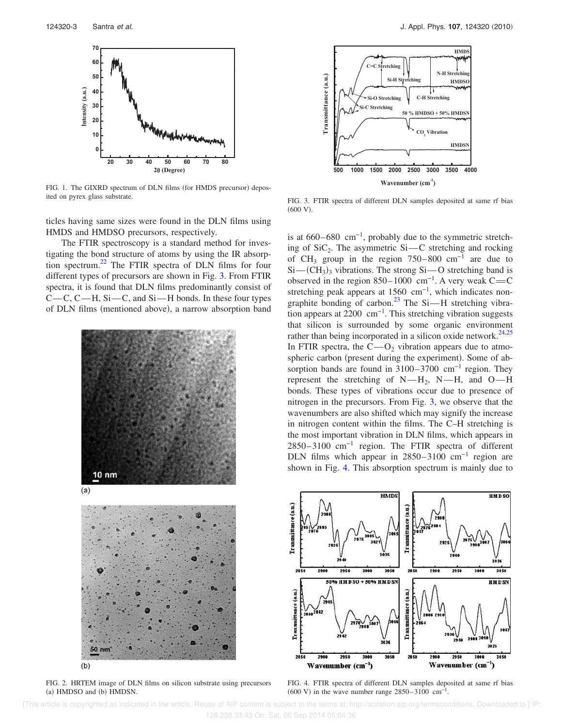

FIG. 1. The GIXRD spectrum of DLN films (for HMDS precursor) deposited on pyrex glass substrate.

ticles having same sizes were found in the DLN films using HMDS and HMDSO precursors, respectively.

The FTIR spectroscopy is a standard method for investigating the bond structure of atoms by using the IR absorption spectrum.<sup>22</sup> The FTIR spectra of DLN films for four different types of precursors are shown in Fig. 3. From FTIR spectra, it is found that DLN films predominantly consist of  $C-C$ ,  $C-H$ ,  $Si-C$ , and  $Si-H$  bonds. In these four types of DLN films (mentioned above), a narrow absorption band





FIG. 2. HRTEM image of DLN films on silicon substrate using precursors (a) HMDSO and (b) HMDSN.



FIG. 3. FTIR spectra of different DLN samples deposited at same rf bias  $(600 V).$ 

is at  $660-680$  cm<sup>-1</sup>, probably due to the symmetric stretching of  $SiC_2$ . The asymmetric  $Si-C$  stretching and rocking of CH<sub>3</sub> group in the region  $750-800$  cm<sup>-1</sup> are due to  $Si-$ (CH<sub>3</sub>)<sub>3</sub> vibrations. The strong Si-O stretching band is observed in the region 850–1000 cm<sup>-1</sup>. A very weak C=C stretching peak appears at 1560 cm<sup>-1</sup>, which indicates nongraphite bonding of carbon.<sup>23</sup> The Si $-H$  stretching vibration appears at 2200 cm−1. This stretching vibration suggests that silicon is surrounded by some organic environment rather than being incorporated in a silicon oxide network.<sup>24,25</sup> In FTIR spectra, the  $C-O_2$  vibration appears due to atmospheric carbon (present during the experiment). Some of absorption bands are found in 3100–3700 cm<sup>-1</sup> region. They represent the stretching of  $N-H_2$ ,  $N-H$ , and  $O-H$ bonds. These types of vibrations occur due to presence of nitrogen in the precursors. From Fig. 3, we observe that the wavenumbers are also shifted which may signify the increase in nitrogen content within the films. The C–H stretching is the most important vibration in DLN films, which appears in 2850–3100 cm−1 region. The FTIR spectra of different DLN films which appear in 2850–3100 cm−1 region are shown in Fig. 4. This absorption spectrum is mainly due to



FIG. 4. FTIR spectra of different DLN samples deposited at same rf bias  $(600 \text{ V})$  in the wave number range 2850–3100 cm<sup>-1</sup>.

 [This article is copyrighted as indicated in the article. Reuse of AIP content is subject to the terms at: http://scitation.aip.org/termsconditions. Downloaded to ] IP: 128.238.33.43 On: Sat, 06 Sep 2014 05:04:36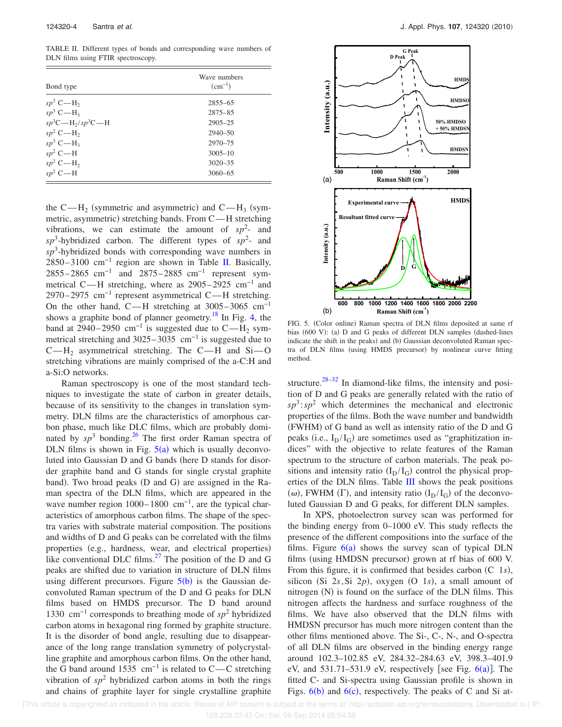TABLE II. Different types of bonds and corresponding wave numbers of DLN films using FTIR spectroscopy.

| Wave numbers<br>$(cm^{-1})$ |  |  |
|-----------------------------|--|--|
| $2855 - 65$                 |  |  |
| $2875 - 85$                 |  |  |
| $2905 - 25$                 |  |  |
| $2940 - 50$                 |  |  |
| $2970 - 75$                 |  |  |
| $3005 - 10$                 |  |  |
| $3020 - 35$                 |  |  |
| $3060 - 65$                 |  |  |
|                             |  |  |

the C—H<sub>2</sub> (symmetric and asymmetric) and C—H<sub>3</sub> (symmetric, asymmetric) stretching bands. From C-H stretching vibrations, we can estimate the amount of  $sp^2$ - and  $sp<sup>3</sup>$ -hybridized carbon. The different types of  $sp<sup>2</sup>$ - and *sp*<sup>3</sup> -hybridized bonds with corresponding wave numbers in 2850–3100 cm−1 region are shown in Table II. Basically, 2855–2865 cm<sup>-1</sup> and 2875–2885 cm<sup>-1</sup> represent symmetrical C—H stretching, where as 2905–2925 cm<sup>-1</sup> and 2970–2975 cm<sup>-1</sup> represent asymmetrical C—H stretching. On the other hand, C—H stretching at  $3005-3065$  cm<sup>-1</sup> shows a graphite bond of planner geometry.<sup>18</sup> In Fig. 4, the band at 2940–2950  $\text{cm}^{-1}$  is suggested due to C—H<sub>2</sub> symmetrical stretching and  $3025-3035$  cm<sup>-1</sup> is suggested due to  $C-H_2$  asymmetrical stretching. The C—H and Si-O stretching vibrations are mainly comprised of the a-C:H and a-Si:O networks.

Raman spectroscopy is one of the most standard techniques to investigate the state of carbon in greater details, because of its sensitivity to the changes in translation symmetry. DLN films are the characteristics of amorphous carbon phase, much like DLC films, which are probably dominated by  $sp^3$  bonding.<sup>26</sup> The first order Raman spectra of DLN films is shown in Fig.  $5(a)$  which is usually deconvoluted into Gaussian D and G bands (here D stands for disorder graphite band and G stands for single crystal graphite band). Two broad peaks (D and G) are assigned in the Raman spectra of the DLN films, which are appeared in the wave number region 1000–1800 cm<sup>-1</sup>, are the typical characteristics of amorphous carbon films. The shape of the spectra varies with substrate material composition. The positions and widths of D and G peaks can be correlated with the films properties (e.g., hardness, wear, and electrical properties) like conventional DLC films. $^{27}$  The position of the D and G peaks are shifted due to variation in structure of DLN films using different precursors. Figure  $5(b)$  is the Gaussian deconvoluted Raman spectrum of the D and G peaks for DLN films based on HMDS precursor. The D band around 1330 cm−1 corresponds to breathing mode of *sp*<sup>2</sup> hybridized carbon atoms in hexagonal ring formed by graphite structure. It is the disorder of bond angle, resulting due to disappearance of the long range translation symmetry of polycrystalline graphite and amorphous carbon films. On the other hand, the G band around 1535 cm<sup>-1</sup> is related to C—C stretching vibration of  $sp^2$  hybridized carbon atoms in both the rings and chains of graphite layer for single crystalline graphite



FIG. 5. (Color online) Raman spectra of DLN films deposited at same rf bias (600 V): (a) D and G peaks of different DLN samples (dashed-lines indicate the shift in the peaks) and (b) Gaussian deconvoluted Raman spectra of DLN films (using HMDS precursor) by nonlinear curve fitting method.

structure. $28-32$  In diamond-like films, the intensity and position of D and G peaks are generally related with the ratio of  $sp^3$ :  $sp^2$  which determines the mechanical and electronic properties of the films. Both the wave number and bandwidth (FWHM) of G band as well as intensity ratio of the D and G peaks (i.e.,  $I_D / I_G$ ) are sometimes used as "graphitization indices" with the objective to relate features of the Raman spectrum to the structure of carbon materials. The peak positions and intensity ratio  $(I_D / I_G)$  control the physical properties of the DLN films. Table III shows the peak positions ( $\omega$ ), FWHM ( $\Gamma$ ), and intensity ratio ( $I_D/I_G$ ) of the deconvoluted Gaussian D and G peaks, for different DLN samples.

In XPS, photoelectron survey scan was performed for the binding energy from 0–1000 eV. This study reflects the presence of the different compositions into the surface of the films. Figure  $6(a)$  shows the survey scan of typical DLN films (using HMDSN precursor) grown at rf bias of 600 V. From this figure, it is confirmed that besides carbon (C 1s), silicon (Si  $2s$ , Si  $2p$ ), oxygen (O 1*s*), a small amount of nitrogen (N) is found on the surface of the DLN films. This nitrogen affects the hardness and surface roughness of the films. We have also observed that the DLN films with HMDSN precursor has much more nitrogen content than the other films mentioned above. The Si-, C-, N-, and O-spectra of all DLN films are observed in the binding energy range around 102.3–102.85 eV, 284.32–284.63 eV, 398.3–401.9 eV, and  $531.71-531.9$  eV, respectively [see Fig.  $6(a)$ ]. The fitted C- and Si-spectra using Gaussian profile is shown in Figs.  $6(b)$  and  $6(c)$ , respectively. The peaks of C and Si at-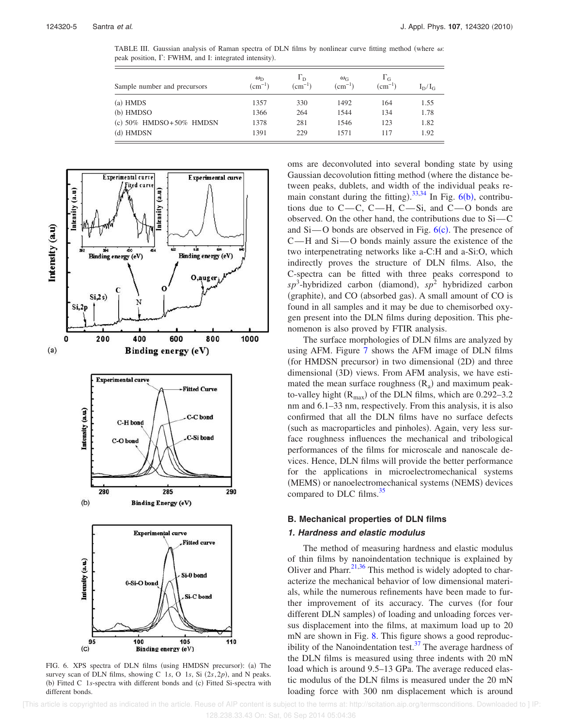TABLE III. Gaussian analysis of Raman spectra of DLN films by nonlinear curve fitting method (where  $\omega$ ): peak position,  $\Gamma$ : FWHM, and I: integrated intensity).

| Sample number and precursors   | $\omega_{\rm D}$<br>$\rm (cm^{-1})$ | $\Gamma_{\rm D}$<br>$\rm (cm^{-1})$ | $\omega_{\rm G}$<br>$(cm^{-1})$ | $\Gamma_{\rm G}$<br>$(cm^{-1})$ | $I_D/I_G$ |
|--------------------------------|-------------------------------------|-------------------------------------|---------------------------------|---------------------------------|-----------|
| $(a)$ HMDS                     | 1357                                | 330                                 | 1492                            | 164                             | 1.55      |
| (b) HMDSO                      | 1366                                | 264                                 | 1544                            | 134                             | 1.78      |
| (c) $50\%$ HMDSO+ $50\%$ HMDSN | 1378                                | 281                                 | 1546                            | 123                             | 1.82      |
| (d) HMDSN                      | 1391                                | 229                                 | 1571                            | 117                             | 1.92      |



FIG. 6. XPS spectra of DLN films (using HMDSN precursor): (a) The survey scan of DLN films, showing C 1s, O 1s, Si  $(2s, 2p)$ , and N peaks. (b) Fitted C 1s-spectra with different bonds and (c) Fitted Si-spectra with different bonds.

oms are deconvoluted into several bonding state by using Gaussian decovolution fitting method (where the distance between peaks, dublets, and width of the individual peaks remain constant during the fitting).  $33,34$  In Fig. 6(b), contributions due to  $C-C$ ,  $C-H$ ,  $C-Si$ , and  $C-O$  bonds are observed. On the other hand, the contributions due to  $Si-C$ and  $Si$ —O bonds are observed in Fig.  $6(c)$ . The presence of  $C-H$  and  $Si-O$  bonds mainly assure the existence of the two interpenetrating networks like a-C:H and a-Si:O, which indirectly proves the structure of DLN films. Also, the C-spectra can be fitted with three peaks correspond to  $sp^3$ -hybridized carbon (diamond),  $sp^2$  hybridized carbon (graphite), and CO (absorbed gas). A small amount of CO is found in all samples and it may be due to chemisorbed oxygen present into the DLN films during deposition. This phenomenon is also proved by FTIR analysis.

The surface morphologies of DLN films are analyzed by using AFM. Figure 7 shows the AFM image of DLN films (for HMDSN precursor) in two dimensional (2D) and three dimensional (3D) views. From AFM analysis, we have estimated the mean surface roughness  $(R_a)$  and maximum peakto-valley hight  $(R_{\text{max}})$  of the DLN films, which are 0.292–3.2 nm and 6.1–33 nm, respectively. From this analysis, it is also confirmed that all the DLN films have no surface defects (such as macroparticles and pinholes). Again, very less surface roughness influences the mechanical and tribological performances of the films for microscale and nanoscale devices. Hence, DLN films will provide the better performance for the applications in microelectromechanical systems (MEMS) or nanoelectromechanical systems (NEMS) devices compared to DLC films.<sup>35</sup>

# **B. Mechanical properties of DLN films**

## **1. Hardness and elastic modulus**

The method of measuring hardness and elastic modulus of thin films by nanoindentation technique is explained by Oliver and Pharr.<sup>21,36</sup> This method is widely adopted to characterize the mechanical behavior of low dimensional materials, while the numerous refinements have been made to further improvement of its accuracy. The curves (for four different DLN samples) of loading and unloading forces versus displacement into the films, at maximum load up to 20 mN are shown in Fig. 8. This figure shows a good reproducibility of the Nanoindentation test. $37$  The average hardness of the DLN films is measured using three indents with 20 mN load which is around 9.5–13 GPa. The average reduced elastic modulus of the DLN films is measured under the 20 mN loading force with 300 nm displacement which is around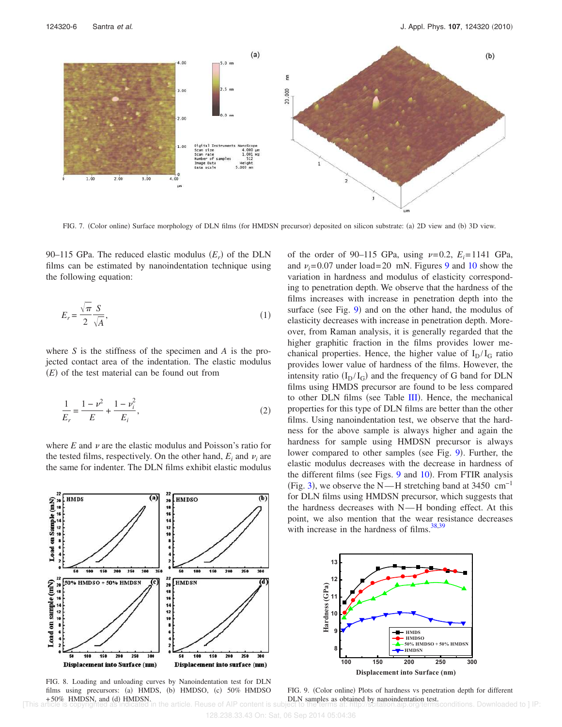

FIG. 7. (Color online) Surface morphology of DLN films (for HMDSN precursor) deposited on silicon substrate: (a) 2D view and (b) 3D view.

90–115 GPa. The reduced elastic modulus  $(E_r)$  of the DLN films can be estimated by nanoindentation technique using the following equation:

$$
E_r = \frac{\sqrt{\pi}}{2} \frac{S}{\sqrt{A}},\tag{1}
$$

where *S* is the stiffness of the specimen and *A* is the projected contact area of the indentation. The elastic modulus  $(E)$  of the test material can be found out from

$$
\frac{1}{E_r} = \frac{1 - \nu^2}{E} + \frac{1 - \nu_i^2}{E_i},\tag{2}
$$

where  $E$  and  $\nu$  are the elastic modulus and Poisson's ratio for the tested films, respectively. On the other hand,  $E_i$  and  $v_i$  are the same for indenter. The DLN films exhibit elastic modulus



FIG. 8. Loading and unloading curves by Nanoindentation test for DLN films using precursors: (a) HMDS, (b) HMDSO, (c) 50% HMDSO  $+50\%$  HMDSN, and (d) HMDSN. article. Reuse of AIP content is subject to the terms at: http://scitation.aip.org/termsconditions. Downloaded to ] IP

of the order of 90–115 GPa, using  $\nu=0.2$ ,  $E_i=1141$  GPa, and  $v_i$ =0.07 under load=20 mN. Figures 9 and 10 show the variation in hardness and modulus of elasticity corresponding to penetration depth. We observe that the hardness of the films increases with increase in penetration depth into the surface (see Fig.  $9$ ) and on the other hand, the modulus of elasticity decreases with increase in penetration depth. Moreover, from Raman analysis, it is generally regarded that the higher graphitic fraction in the films provides lower mechanical properties. Hence, the higher value of  $I_D/I_G$  ratio provides lower value of hardness of the films. However, the intensity ratio  $(I_D / I_G)$  and the frequency of G band for DLN films using HMDS precursor are found to be less compared to other DLN films (see Table III). Hence, the mechanical properties for this type of DLN films are better than the other films. Using nanoindentation test, we observe that the hardness for the above sample is always higher and again the hardness for sample using HMDSN precursor is always lower compared to other samples (see Fig. 9). Further, the elastic modulus decreases with the decrease in hardness of the different films (see Figs.  $9$  and  $10$ ). From FTIR analysis (Fig. 3), we observe the N—H stretching band at 3450  $cm^{-1}$ for DLN films using HMDSN precursor, which suggests that the hardness decreases with  $N$ —H bonding effect. At this point, we also mention that the wear resistance decreases with increase in the hardness of films. $38,39$ 



FIG. 9. (Color online) Plots of hardness vs penetration depth for different DLN samples as obtained by nanoindentation test.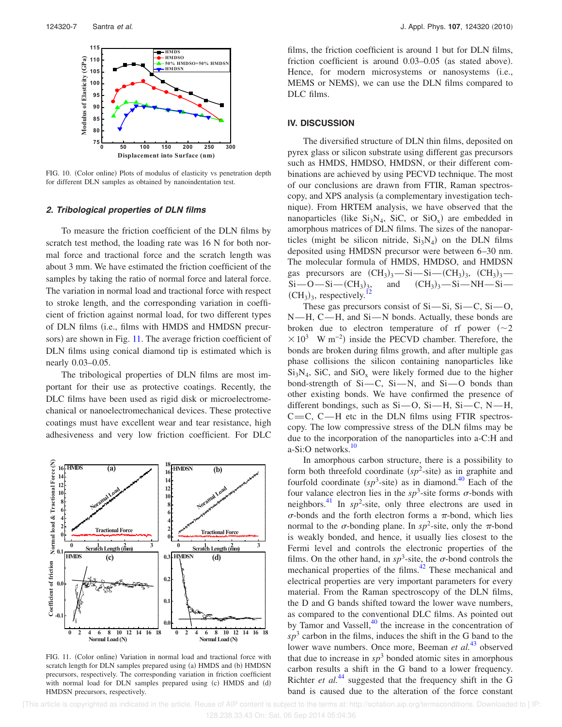

FIG. 10. (Color online) Plots of modulus of elasticity vs penetration depth for different DLN samples as obtained by nanoindentation test.

## **2. Tribological properties of DLN films**

To measure the friction coefficient of the DLN films by scratch test method, the loading rate was 16 N for both normal force and tractional force and the scratch length was about 3 mm. We have estimated the friction coefficient of the samples by taking the ratio of normal force and lateral force. The variation in normal load and tractional force with respect to stroke length, and the corresponding variation in coefficient of friction against normal load, for two different types of DLN films (i.e., films with HMDS and HMDSN precursors) are shown in Fig. 11. The average friction coefficient of DLN films using conical diamond tip is estimated which is nearly 0.03–0.05.

The tribological properties of DLN films are most important for their use as protective coatings. Recently, the DLC films have been used as rigid disk or microelectromechanical or nanoelectromechanical devices. These protective coatings must have excellent wear and tear resistance, high adhesiveness and very low friction coefficient. For DLC



FIG. 11. (Color online) Variation in normal load and tractional force with scratch length for DLN samples prepared using (a) HMDS and (b) HMDSN precursors, respectively. The corresponding variation in friction coefficient with normal load for DLN samples prepared using (c) HMDS and (d) HMDSN precursors, respectively.

films, the friction coefficient is around 1 but for DLN films, friction coefficient is around  $0.03-0.05$  (as stated above). Hence, for modern microsystems or nanosystems (i.e., MEMS or NEMS), we can use the DLN films compared to DLC films.

# **IV. DISCUSSION**

The diversified structure of DLN thin films, deposited on pyrex glass or silicon substrate using different gas precursors such as HMDS, HMDSO, HMDSN, or their different combinations are achieved by using PECVD technique. The most of our conclusions are drawn from FTIR, Raman spectroscopy, and XPS analysis (a complementary investigation technique). From HRTEM analysis, we have observed that the nanoparticles (like  $Si<sub>3</sub>N<sub>4</sub>$ , SiC, or SiO<sub>x</sub>) are embedded in amorphous matrices of DLN films. The sizes of the nanoparticles (might be silicon nitride,  $Si<sub>3</sub>N<sub>4</sub>$ ) on the DLN films deposited using HMDSN precursor were between 6–30 nm. The molecular formula of HMDS, HMDSO, and HMDSN gas precursors are  $(CH_3)_3$ —Si—Si—C $(H_3)_3$ ,  $(CH_3)_3$ —  $Si$ —O—Si— $(CH_3)_3$ and  $(CH_3)_3$  - Si - NH - Si - $(CH_3)_3$ , respectively.<sup>12</sup>

These gas precursors consist of  $Si-Si$ ,  $Si-C$ ,  $Si-O$ ,  $N-H$ ,  $C-H$ , and  $Si-N$  bonds. Actually, these bonds are broken due to electron temperature of rf power  $(\sim 2)$  $\times$  10<sup>3</sup> W m<sup>-2</sup>) inside the PECVD chamber. Therefore, the bonds are broken during films growth, and after multiple gas phase collisions the silicon containing nanoparticles like  $Si<sub>3</sub>N<sub>4</sub>$ , SiC, and SiO<sub>x</sub> were likely formed due to the higher bond-strength of  $Si$ -C,  $Si$ -N, and  $Si$ -O bonds than other existing bonds. We have confirmed the presence of different bondings, such as  $Si$ —O,  $Si$ —H,  $Si$ —C, N—H,  $C=C$ ,  $C-H$  etc in the DLN films using FTIR spectroscopy. The low compressive stress of the DLN films may be due to the incorporation of the nanoparticles into a-C:H and a-Si:O networks.<sup>10</sup>

In amorphous carbon structure, there is a possibility to form both threefold coordinate  $(sp^2\text{-site})$  as in graphite and fourfold coordinate  $(sp^3\text{-site})$  as in diamond.<sup>40</sup> Each of the four valance electron lies in the  $sp^3$ -site forms  $\sigma$ -bonds with neighbors.<sup>41</sup> In  $sp^2$ -site, only three electrons are used in  $\sigma$ -bonds and the forth electron forms a  $\pi$ -bond, which lies normal to the  $\sigma$ -bonding plane. In *sp*<sup>2</sup>-site, only the  $\pi$ -bond is weakly bonded, and hence, it usually lies closest to the Fermi level and controls the electronic properties of the films. On the other hand, in  $sp^3$ -site, the  $\sigma$ -bond controls the mechanical properties of the films.<sup>42</sup> These mechanical and electrical properties are very important parameters for every material. From the Raman spectroscopy of the DLN films, the D and G bands shifted toward the lower wave numbers, as compared to the conventional DLC films. As pointed out by Tamor and Vassell, $40$  the increase in the concentration of  $sp<sup>3</sup>$  carbon in the films, induces the shift in the G band to the lower wave numbers. Once more, Beeman *et al.*<sup>43</sup> observed that due to increase in  $sp<sup>3</sup>$  bonded atomic sites in amorphous carbon results a shift in the G band to a lower frequency. Richter *et al.*<sup>44</sup> suggested that the frequency shift in the G band is caused due to the alteration of the force constant

[This article is copyrighted as indicated in the article. Reuse of AIP content is subject to the terms at: http://scitation.aip.org/termsconditions. Downloaded to ] IP: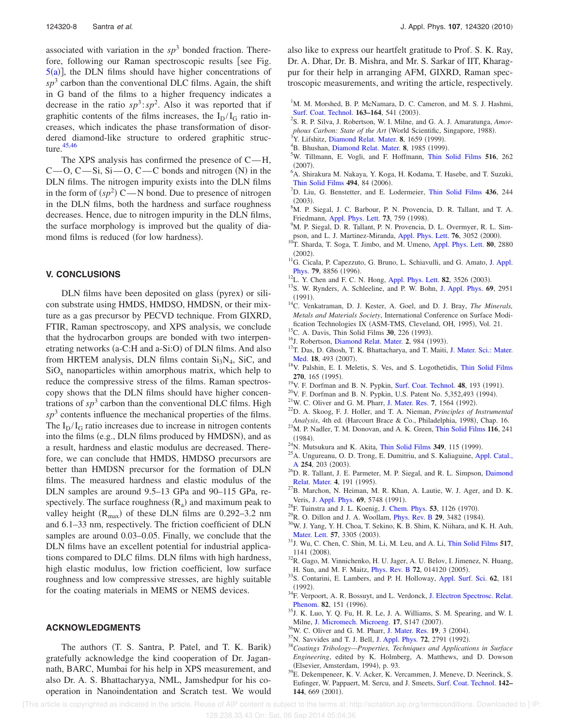associated with variation in the  $sp<sup>3</sup>$  bonded fraction. Therefore, following our Raman spectroscopic results [see Fig.  $5(a)$ , the DLN films should have higher concentrations of  $sp<sup>3</sup>$  carbon than the conventional DLC films. Again, the shift in G band of the films to a higher frequency indicates a decrease in the ratio  $sp^3$ :  $sp^2$ . Also it was reported that if graphitic contents of the films increases, the  $I_D/I_G$  ratio increases, which indicates the phase transformation of disordered diamond-like structure to ordered graphitic structure. $45,46$ 

The XPS analysis has confirmed the presence of  $C-H$ ,  $C$ —O,  $C$ —Si, Si—O,  $C$ —C bonds and nitrogen (N) in the DLN films. The nitrogen impurity exists into the DLN films in the form of  $(sp^2)$  C—N bond. Due to presence of nitrogen in the DLN films, both the hardness and surface roughness decreases. Hence, due to nitrogen impurity in the DLN films, the surface morphology is improved but the quality of diamond films is reduced (for low hardness).

# **V. CONCLUSIONS**

DLN films have been deposited on glass (pyrex) or silicon substrate using HMDS, HMDSO, HMDSN, or their mixture as a gas precursor by PECVD technique. From GIXRD, FTIR, Raman spectroscopy, and XPS analysis, we conclude that the hydrocarbon groups are bonded with two interpenetrating networks (a-C:H and a-Si:O) of DLN films. And also from HRTEM analysis, DLN films contain  $Si<sub>3</sub>N<sub>4</sub>$ , SiC, and  $SiO<sub>x</sub>$  nanoparticles within amorphous matrix, which help to reduce the compressive stress of the films. Raman spectroscopy shows that the DLN films should have higher concentrations of  $sp<sup>3</sup>$  carbon than the conventional DLC films. High  $sp<sup>3</sup>$  contents influence the mechanical properties of the films. The  $I_D/I_G$  ratio increases due to increase in nitrogen contents into the films (e.g., DLN films produced by HMDSN), and as a result, hardness and elastic modulus are decreased. Therefore, we can conclude that HMDS, HMDSO precursors are better than HMDSN precursor for the formation of DLN films. The measured hardness and elastic modulus of the DLN samples are around 9.5–13 GPa and 90–115 GPa, respectively. The surface roughness  $(R_a)$  and maximum peak to valley height  $(R_{\text{max}})$  of these DLN films are 0.292–3.2 nm and 6.1–33 nm, respectively. The friction coefficient of DLN samples are around  $0.03-0.05$ . Finally, we conclude that the DLN films have an excellent potential for industrial applications compared to DLC films. DLN films with high hardness, high elastic modulus, low friction coefficient, low surface roughness and low compressive stresses, are highly suitable for the coating materials in MEMS or NEMS devices.

# **ACKNOWLEDGMENTS**

The authors (T. S. Santra, P. Patel, and T. K. Barik) gratefully acknowledge the kind cooperation of Dr. Jagannath, BARC, Mumbai for his help in XPS measurement, and also Dr. A. S. Bhattacharyya, NML, Jamshedpur for his cooperation in Nanoindentation and Scratch test. We would also like to express our heartfelt gratitude to Prof. S. K. Ray, Dr. A. Dhar, Dr. B. Mishra, and Mr. S. Sarkar of IIT, Kharagpur for their help in arranging AFM, GIXRD, Raman spectroscopic measurements, and writing the article, respectively.

- <sup>1</sup>M. M. Morshed, B. P. McNamara, D. C. Cameron, and M. S. J. Hashmi, Surf. Coat. Technol. 163-164, 541 (2003).
- 2 S. R. P. Silva, J. Robertson, W. I. Milne, and G. A. J. Amaratunga, *Amor*phous Carbon: State of the Art (World Scientific, Singapore, 1988).
- <sup>3</sup>Y. Lifshitz, Diamond Relat. Mater. 8, 1659 (1999).
- <sup>4</sup>B. Bhushan, Diamond Relat. Mater. 8, 1985 (1999).
- <sup>5</sup>W. Tillmann, E. Vogli, and F. Hoffmann, Thin Solid Films **516**, 262  $(2007).$
- <sup>6</sup>A. Shirakura M. Nakaya, Y. Koga, H. Kodama, T. Hasebe, and T. Suzuki, Thin Solid Films 494, 84 (2006).
- <sup>7</sup>D. Liu, G. Benstetter, and E. Lodermeier, Thin Solid Films **436**, 244  $(2003).$
- <sup>8</sup>M. P. Siegal, J. C. Barbour, P. N. Provencia, D. R. Tallant, and T. A. Friedmann, Appl. Phys. Lett. **73**, 759 (1998).
- <sup>9</sup>M. P. Siegal, D. R. Tallant, P. N. Provencia, D. L. Overmyer, R. L. Simpson, and L. J. Martinez-Miranda, Appl. Phys. Lett. 76, 3052 (2000).
- <sup>10</sup>T. Sharda, T. Soga, T. Jimbo, and M. Umeno, Appl. Phys. Lett. **80**, 2880  $(2002).$
- <sup>11</sup>G. Cicala, P. Capezzuto, G. Bruno, L. Schiavulli, and G. Amato, J. Appl. Phys. 79, 8856 (1996).
- $^{12}$ L. Y. Chen and F. C. N. Hong, Appl. Phys. Lett. **82**, 3526 (2003).
- <sup>13</sup>S. W. Rynders, A. Schleeline, and P. W. Bohn, J. Appl. Phys. **69**, 2951  $(1991).$
- <sup>14</sup>C. Venkatraman, D. J. Kester, A. Goel, and D. J. Bray, *The Minerals, Metals and Materials Society*, International Conference on Surface Modification Technologies IX (ASM-TMS, Cleveland, OH, 1995), Vol. 21.
- <sup>15</sup>C. A. Davis, Thin Solid Films **30**, 226 (1993).
- <sup>16</sup>J. Robertson, Diamond Relat. Mater. 2, 984 (1993).
- <sup>17</sup>T. Das, D. Ghosh, T. K. Bhattacharya, and T. Maiti, J. Mater. Sci.: Mater. Med. 18, 493 (2007).
- <sup>18</sup>V. Palshin, E. I. Meletis, S. Ves, and S. Logothetidis, Thin Solid Films 270, 165 (1995).
- <sup>19</sup>V. F. Dorfman and B. N. Pypkin, Surf. Coat. Technol. 48, 193 (1991).
- $^{20}$ V. F. Dorfman and B. N. Pypkin, U.S. Patent No. 5,352,493 (1994).
- <sup>21</sup>W. C. Oliver and G. M. Pharr, J. Mater. Res. 7, 1564 (1992).
- <sup>22</sup>D. A. Skoog, F. J. Holler, and T. A. Nieman, *Principles of Instrumental* Analysis, 4th ed. (Harcourt Brace & Co., Philadelphia, 1998), Chap. 16.
- <sup>23</sup>M. P. Nadler, T. M. Donovan, and A. K. Green, Thin Solid Films **116**, 241  $(1984).$
- $^{24}$ N. Mutsukura and K. Akita, Thin Solid Films 349, 115 (1999).
- <sup>25</sup>A. Ungureanu, O. D. Trong, E. Dumitriu, and S. Kaliaguine, Appl. Catal., A 254, 203 (2003).
- <sup>26</sup>D. R. Tallant, J. E. Parmeter, M. P. Siegal, and R. L. Simpson, Daimond Relat. Mater. 4, 191 (1995).
- $^{27}$ B. Marchon, N. Heiman, M. R. Khan, A. Lautie, W. J. Ager, and D. K. Veris, J. Appl. Phys. 69, 5748 (1991).
- <sup>28</sup>F. Tuinstra and J. L. Koenig, J. Chem. Phys. **53**, 1126 (1970).
- <sup>29</sup>R. O. Dillon and J. A. Woollam, *Phys. Rev. B* **29**, 3482 (1984).
- <sup>30</sup>W. J. Yang, Y. H. Choa, T. Sekino, K. B. Shim, K. Niihara, and K. H. Auh, Mater. Lett. 57, 3305 (2003).
- <sup>31</sup>J. Wu, C. Chen, C. Shin, M. Li, M. Leu, and A. Li, Thin Solid Films **517**, 1141 (2008).
- <sup>32</sup>R. Gago, M. Vinnichenko, H. U. Jager, A. U. Belov, I. Jimenez, N. Huang, H. Sun, and M. F. Maitz, *Phys. Rev. B* 72, 014120 (2005).
- <sup>33</sup>S. Contarini, E. Lambers, and P. H. Holloway, Appl. Surf. Sci. **62**, 181  $(1992).$
- <sup>34</sup>F. Verpoort, A. R. Bossuyt, and L. Verdonck, J. Electron Spectrosc. Relat. Phenom. 82, 151 (1996).
- $35$ J. K. Luo, Y. Q. Fu, H. R. Le, J. A. Williams, S. M. Spearing, and W. I. Milne, J. Micromech. Microeng. 17, S147 (2007).
- <sup>36</sup>W. C. Oliver and G. M. Pharr, J. Mater. Res. 19, 3 (2004).
- <sup>37</sup>N. Savvides and T. J. Bell, J. Appl. Phys. **72**, 2791 (1992).
- <sup>38</sup>*Coatings Tribology—Properties, Techniques and Applications in Surface Engineering*, edited by K. Holmberg, A. Matthews, and D. Dowson (Elsevier, Amsterdam, 1994), p. 93.
- <sup>39</sup>E. Dekempeneer, K. V. Acker, K. Vercammen, J. Meneve, D. Neerinck, S. Eufinger, W. Pappaert, M. Sercu, and J. Smeets, Surf. Coat. Technol. **142–** 144, 669 (2001).